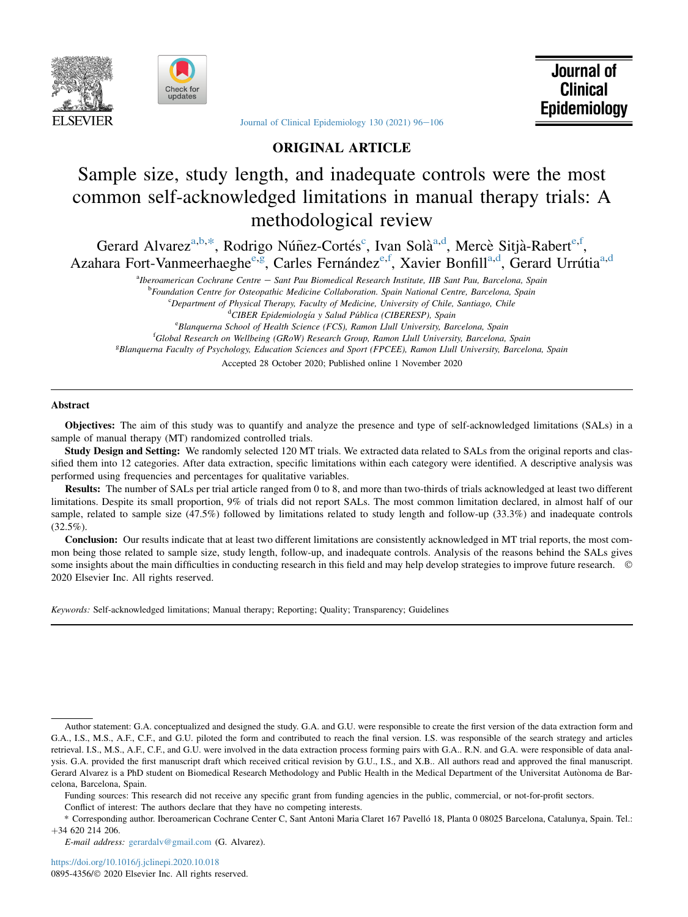



Journal of **Clinical** Epidemiology

Journal of Clinical Epidemiology 130 (2021)  $96-106$  $96-106$ 

# ORIGINAL ARTICLE

# Sample size, study length, and inadequate controls were the most common self-acknowledged limitations in manual therapy trials: A methodological review

<span id="page-0-3"></span><span id="page-0-1"></span><span id="page-0-0"></span>Ger[a](#page-0-0)rd Alvarez<sup>a,[b](#page-0-1),[\\*](#page-0-2)</sup>, Rodrigo Núñez-Cortés<sup>[c](#page-0-3)</sup>, Ivan Solà<sup>a,[d](#page-0-4)</sup>, M[e](#page-0-5)rcè Sitjà-Rabert<sup>e[,f](#page-0-6)</sup>, Azahara Fort-Vanm[e](#page-0-5)erhae[g](#page-0-7)he<sup>e,g</sup>, Carles Fernández<sup>e,[f](#page-0-6)</sup>, X[a](#page-0-0)vier Bonfill<sup>a,[d](#page-0-4)</sup>, Gerard Urrútia<sup>a,d</sup>

a<br><sup>a</sup>Iberoamerican Cochrane Centre – Sant Pau Biomedical Research Institute, IIB Sant Pau, Barcelona, Spain

<sup>b</sup>Foundation Centre for Osteopathic Medicine Collaboration. Spain National Centre, Barcelona, Spain <sup>c</sup>Department of Physical Therapy, Faculty of Medicine, University of Chile, Santiago, Chile

<span id="page-0-6"></span><span id="page-0-5"></span><span id="page-0-4"></span><sup>d</sup> CIBER Epidemiología y Salud Pública (CIBERESP), Spain<br><sup>e</sup> Blanguarna School of Haalth Science (ECS), Bamon Hull University, Bay <sup>e</sup>Blanquerna School of Health Science (FCS), Ramon Llull University, Barcelona, Spain <sup>f</sup>Global Research on Wellbeing (GRoW) Research Group, Ramon Llull University, Barcelona, Spain g Blanquerna Faculty of Psychology, Education Sciences and Sport (FPCEE), Ramon Llull University, Barcelona, Spain Accepted 28 October 2020; Published online 1 November 2020

<span id="page-0-7"></span>Abstract

Objectives: The aim of this study was to quantify and analyze the presence and type of self-acknowledged limitations (SALs) in a sample of manual therapy (MT) randomized controlled trials.

Study Design and Setting: We randomly selected 120 MT trials. We extracted data related to SALs from the original reports and classified them into 12 categories. After data extraction, specific limitations within each category were identified. A descriptive analysis was performed using frequencies and percentages for qualitative variables.

Results: The number of SALs per trial article ranged from 0 to 8, and more than two-thirds of trials acknowledged at least two different limitations. Despite its small proportion, 9% of trials did not report SALs. The most common limitation declared, in almost half of our sample, related to sample size (47.5%) followed by limitations related to study length and follow-up (33.3%) and inadequate controls  $(32.5\%)$ .

Conclusion: Our results indicate that at least two different limitations are consistently acknowledged in MT trial reports, the most common being those related to sample size, study length, follow-up, and inadequate controls. Analysis of the reasons behind the SALs gives some insights about the main difficulties in conducting research in this field and may help develop strategies to improve future research. © 2020 Elsevier Inc. All rights reserved.

Keywords: Self-acknowledged limitations; Manual therapy; Reporting; Quality; Transparency; Guidelines

Conflict of interest: The authors declare that they have no competing interests.

Author statement: G.A. conceptualized and designed the study. G.A. and G.U. were responsible to create the first version of the data extraction form and G.A., I.S., M.S., A.F., C.F., and G.U. piloted the form and contributed to reach the final version. I.S. was responsible of the search strategy and articles retrieval. I.S., M.S., A.F., C.F., and G.U. were involved in the data extraction process forming pairs with G.A.. R.N. and G.A. were responsible of data analysis. G.A. provided the first manuscript draft which received critical revision by G.U., I.S., and X.B.. All authors read and approved the final manuscript. Gerard Alvarez is a PhD student on Biomedical Research Methodology and Public Health in the Medical Department of the Universitat Autonoma de Barcelona, Barcelona, Spain.

Funding sources: This research did not receive any specific grant from funding agencies in the public, commercial, or not-for-profit sectors.

<span id="page-0-2"></span><sup>\*</sup> Corresponding author. Iberoamerican Cochrane Center C, Sant Antoni Maria Claret 167 Pavello 18, Planta 0 08025 Barcelona, Catalunya, Spain. Tel.: þ34 620 214 206.

E-mail address: [gerardalv@gmail.com](mailto:gerardalv@gmail.com) (G. Alvarez).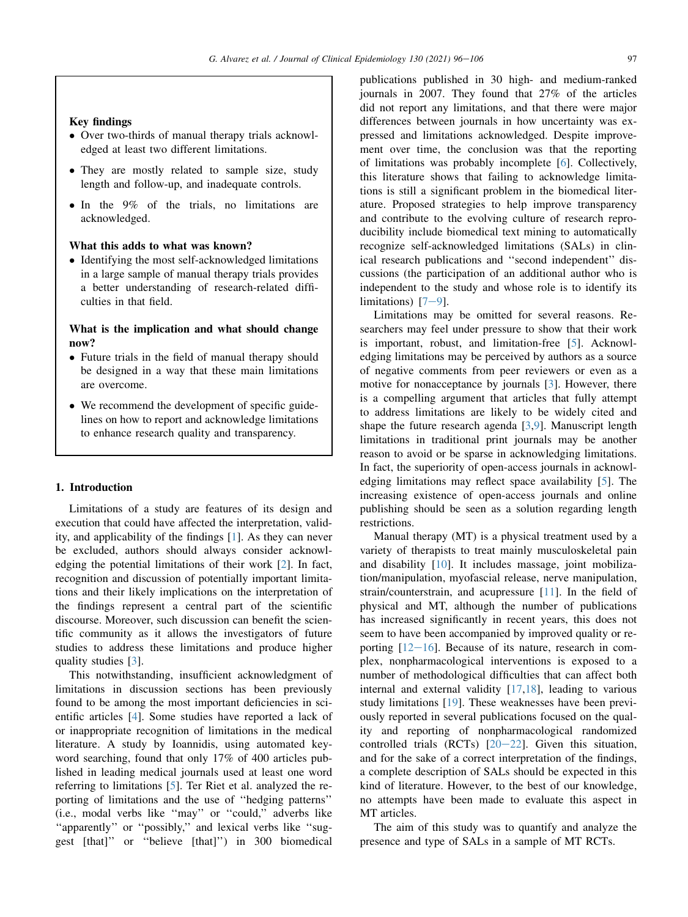# Key findings

- Over two-thirds of manual therapy trials acknowledged at least two different limitations.
- They are mostly related to sample size, study length and follow-up, and inadequate controls.
- In the 9% of the trials, no limitations are acknowledged.

# What this adds to what was known?

- Identifying the most self-acknowledged limitations in a large sample of manual therapy trials provides a better understanding of research-related difficulties in that field.

# What is the implication and what should change now?

- Future trials in the field of manual therapy should be designed in a way that these main limitations are overcome.
- We recommend the development of specific guidelines on how to report and acknowledge limitations to enhance research quality and transparency.

### 1. Introduction

Limitations of a study are features of its design and execution that could have affected the interpretation, validity, and applicability of the findings [[1\]](#page-8-0). As they can never be excluded, authors should always consider acknowledging the potential limitations of their work [[2\]](#page-8-1). In fact, recognition and discussion of potentially important limitations and their likely implications on the interpretation of the findings represent a central part of the scientific discourse. Moreover, such discussion can benefit the scientific community as it allows the investigators of future studies to address these limitations and produce higher quality studies [\[3](#page-8-2)].

This notwithstanding, insufficient acknowledgment of limitations in discussion sections has been previously found to be among the most important deficiencies in scientific articles [[4\]](#page-8-3). Some studies have reported a lack of or inappropriate recognition of limitations in the medical literature. A study by Ioannidis, using automated keyword searching, found that only 17% of 400 articles published in leading medical journals used at least one word referring to limitations [[5\]](#page-8-4). Ter Riet et al. analyzed the reporting of limitations and the use of ''hedging patterns'' (i.e., modal verbs like ''may'' or ''could,'' adverbs like ''apparently'' or ''possibly,'' and lexical verbs like ''suggest [that]'' or ''believe [that]'') in 300 biomedical

publications published in 30 high- and medium-ranked journals in 2007. They found that 27% of the articles did not report any limitations, and that there were major differences between journals in how uncertainty was expressed and limitations acknowledged. Despite improvement over time, the conclusion was that the reporting of limitations was probably incomplete [[6\]](#page-8-5). Collectively, this literature shows that failing to acknowledge limitations is still a significant problem in the biomedical literature. Proposed strategies to help improve transparency and contribute to the evolving culture of research reproducibility include biomedical text mining to automatically recognize self-acknowledged limitations (SALs) in clinical research publications and ''second independent'' discussions (the participation of an additional author who is independent to the study and whose role is to identify its limitations)  $[7-9]$  $[7-9]$  $[7-9]$  $[7-9]$  $[7-9]$ .

Limitations may be omitted for several reasons. Researchers may feel under pressure to show that their work is important, robust, and limitation-free [\[5](#page-8-4)]. Acknowledging limitations may be perceived by authors as a source of negative comments from peer reviewers or even as a motive for nonacceptance by journals [\[3](#page-8-2)]. However, there is a compelling argument that articles that fully attempt to address limitations are likely to be widely cited and shape the future research agenda [[3,](#page-8-2)[9](#page-8-7)]. Manuscript length limitations in traditional print journals may be another reason to avoid or be sparse in acknowledging limitations. In fact, the superiority of open-access journals in acknowledging limitations may reflect space availability [\[5](#page-8-4)]. The increasing existence of open-access journals and online publishing should be seen as a solution regarding length restrictions.

Manual therapy (MT) is a physical treatment used by a variety of therapists to treat mainly musculoskeletal pain and disability [\[10](#page-8-8)]. It includes massage, joint mobilization/manipulation, myofascial release, nerve manipulation, strain/counterstrain, and acupressure [\[11](#page-8-9)]. In the field of physical and MT, although the number of publications has increased significantly in recent years, this does not seem to have been accompanied by improved quality or reporting  $[12-16]$  $[12-16]$  $[12-16]$ . Because of its nature, research in complex, nonpharmacological interventions is exposed to a number of methodological difficulties that can affect both internal and external validity [[17](#page-8-11)[,18](#page-8-12)], leading to various study limitations [[19](#page-8-13)]. These weaknesses have been previously reported in several publications focused on the quality and reporting of nonpharmacological randomized controlled trials (RCTs)  $[20-22]$  $[20-22]$  $[20-22]$  $[20-22]$  $[20-22]$ . Given this situation, and for the sake of a correct interpretation of the findings, a complete description of SALs should be expected in this kind of literature. However, to the best of our knowledge, no attempts have been made to evaluate this aspect in MT articles.

The aim of this study was to quantify and analyze the presence and type of SALs in a sample of MT RCTs.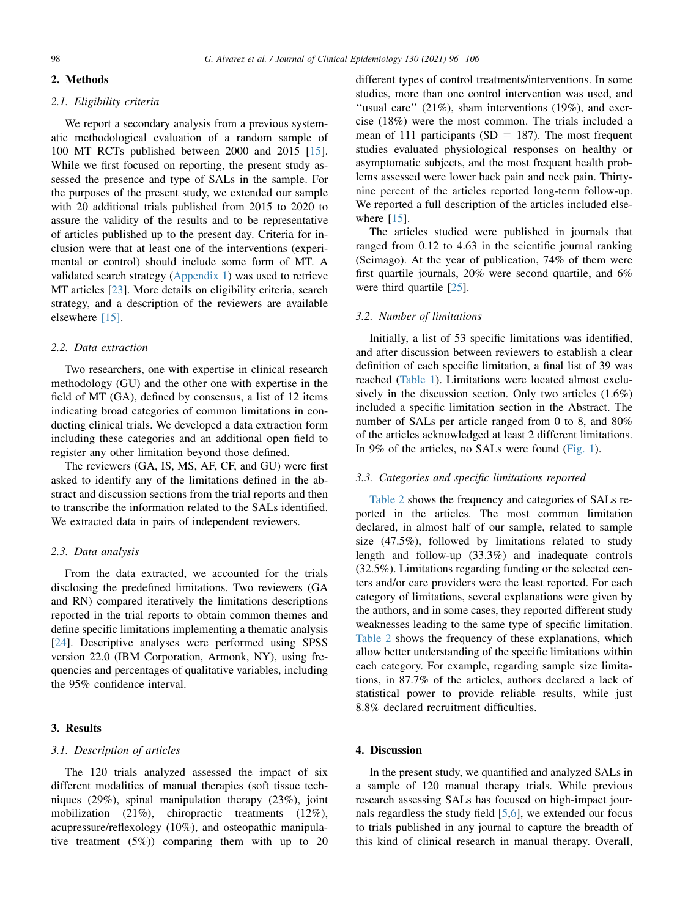# 2. Methods

# 2.1. Eligibility criteria

We report a secondary analysis from a previous systematic methodological evaluation of a random sample of 100 MT RCTs published between 2000 and 2015 [\[15](#page-8-15)]. While we first focused on reporting, the present study assessed the presence and type of SALs in the sample. For the purposes of the present study, we extended our sample with 20 additional trials published from 2015 to 2020 to assure the validity of the results and to be representative of articles published up to the present day. Criteria for inclusion were that at least one of the interventions (experimental or control) should include some form of MT. A validated search strategy ([Appendix 1\)](#page-10-0) was used to retrieve MT articles [\[23](#page-9-0)]. More details on eligibility criteria, search strategy, and a description of the reviewers are available elsewhere [\[15\].](#page-8-15)

### 2.2. Data extraction

Two researchers, one with expertise in clinical research methodology (GU) and the other one with expertise in the field of MT (GA), defined by consensus, a list of 12 items indicating broad categories of common limitations in conducting clinical trials. We developed a data extraction form including these categories and an additional open field to register any other limitation beyond those defined.

The reviewers (GA, IS, MS, AF, CF, and GU) were first asked to identify any of the limitations defined in the abstract and discussion sections from the trial reports and then to transcribe the information related to the SALs identified. We extracted data in pairs of independent reviewers.

# 2.3. Data analysis

From the data extracted, we accounted for the trials disclosing the predefined limitations. Two reviewers (GA and RN) compared iteratively the limitations descriptions reported in the trial reports to obtain common themes and define specific limitations implementing a thematic analysis [\[24](#page-9-1)]. Descriptive analyses were performed using SPSS version 22.0 (IBM Corporation, Armonk, NY), using frequencies and percentages of qualitative variables, including the 95% confidence interval.

# 3. Results

### 3.1. Description of articles

The 120 trials analyzed assessed the impact of six different modalities of manual therapies (soft tissue techniques (29%), spinal manipulation therapy (23%), joint mobilization (21%), chiropractic treatments (12%), acupressure/reflexology (10%), and osteopathic manipulative treatment (5%)) comparing them with up to 20

different types of control treatments/interventions. In some studies, more than one control intervention was used, and "usual care"  $(21\%)$ , sham interventions  $(19\%)$ , and exercise (18%) were the most common. The trials included a mean of 111 participants (SD = 187). The most frequent studies evaluated physiological responses on healthy or asymptomatic subjects, and the most frequent health problems assessed were lower back pain and neck pain. Thirtynine percent of the articles reported long-term follow-up. We reported a full description of the articles included elsewhere  $[15]$  $[15]$ .

The articles studied were published in journals that ranged from 0.12 to 4.63 in the scientific journal ranking (Scimago). At the year of publication, 74% of them were first quartile journals, 20% were second quartile, and 6% were third quartile [\[25](#page-9-2)].

### 3.2. Number of limitations

Initially, a list of 53 specific limitations was identified, and after discussion between reviewers to establish a clear definition of each specific limitation, a final list of 39 was reached [\(Table 1\)](#page-3-0). Limitations were located almost exclusively in the discussion section. Only two articles (1.6%) included a specific limitation section in the Abstract. The number of SALs per article ranged from 0 to 8, and 80% of the articles acknowledged at least 2 different limitations. In 9% of the articles, no SALs were found [\(Fig. 1\)](#page-4-0).

# 3.3. Categories and specific limitations reported

[Table 2](#page-6-0) shows the frequency and categories of SALs reported in the articles. The most common limitation declared, in almost half of our sample, related to sample size (47.5%), followed by limitations related to study length and follow-up (33.3%) and inadequate controls (32.5%). Limitations regarding funding or the selected centers and/or care providers were the least reported. For each category of limitations, several explanations were given by the authors, and in some cases, they reported different study weaknesses leading to the same type of specific limitation. [Table 2](#page-6-0) shows the frequency of these explanations, which allow better understanding of the specific limitations within each category. For example, regarding sample size limitations, in 87.7% of the articles, authors declared a lack of statistical power to provide reliable results, while just 8.8% declared recruitment difficulties.

### 4. Discussion

In the present study, we quantified and analyzed SALs in a sample of 120 manual therapy trials. While previous research assessing SALs has focused on high-impact journals regardless the study field [\[5](#page-8-4),[6\]](#page-8-5), we extended our focus to trials published in any journal to capture the breadth of this kind of clinical research in manual therapy. Overall,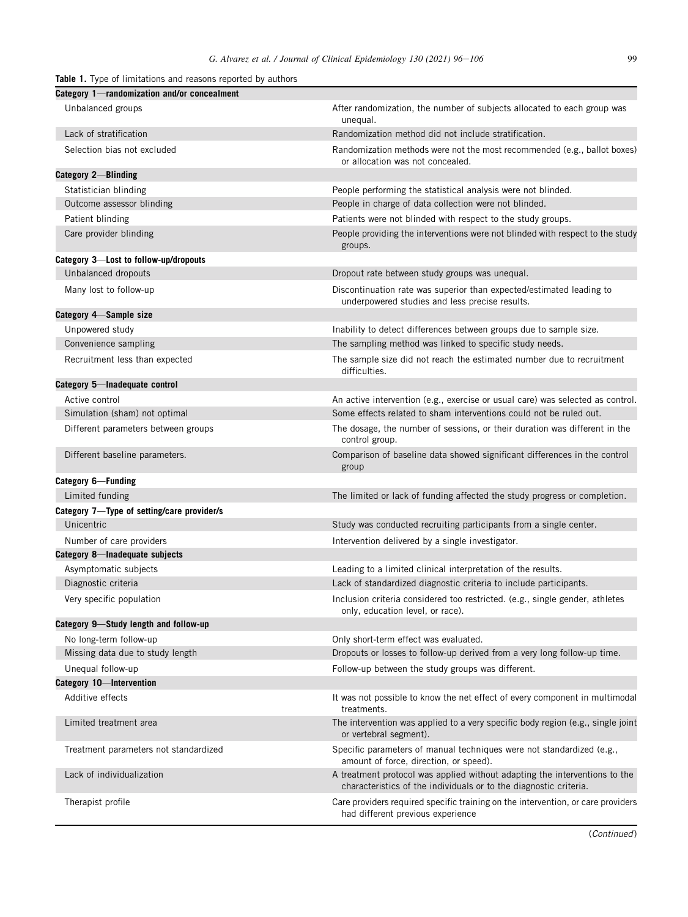# <span id="page-3-0"></span>**Table 1.** Type of limitations and reasons reported by authors

| Category 1—randomization and/or concealment |                                                                                                                                                 |
|---------------------------------------------|-------------------------------------------------------------------------------------------------------------------------------------------------|
| Unbalanced groups                           | After randomization, the number of subjects allocated to each group was<br>unequal.                                                             |
| Lack of stratification                      | Randomization method did not include stratification.                                                                                            |
| Selection bias not excluded                 | Randomization methods were not the most recommended (e.g., ballot boxes)<br>or allocation was not concealed.                                    |
| Category 2-Blinding                         |                                                                                                                                                 |
| Statistician blinding                       | People performing the statistical analysis were not blinded.                                                                                    |
| Outcome assessor blinding                   | People in charge of data collection were not blinded.                                                                                           |
| Patient blinding                            | Patients were not blinded with respect to the study groups.                                                                                     |
| Care provider blinding                      | People providing the interventions were not blinded with respect to the study<br>groups.                                                        |
| Category 3-Lost to follow-up/dropouts       |                                                                                                                                                 |
| Unbalanced dropouts                         | Dropout rate between study groups was unequal.                                                                                                  |
| Many lost to follow-up                      | Discontinuation rate was superior than expected/estimated leading to<br>underpowered studies and less precise results.                          |
| Category 4-Sample size                      |                                                                                                                                                 |
| Unpowered study                             | Inability to detect differences between groups due to sample size.                                                                              |
| Convenience sampling                        | The sampling method was linked to specific study needs.                                                                                         |
| Recruitment less than expected              | The sample size did not reach the estimated number due to recruitment<br>difficulties.                                                          |
| Category 5-Inadequate control               |                                                                                                                                                 |
| Active control                              | An active intervention (e.g., exercise or usual care) was selected as control.                                                                  |
| Simulation (sham) not optimal               | Some effects related to sham interventions could not be ruled out.                                                                              |
| Different parameters between groups         | The dosage, the number of sessions, or their duration was different in the<br>control group.                                                    |
| Different baseline parameters.              | Comparison of baseline data showed significant differences in the control<br>group                                                              |
| Category 6-Funding                          |                                                                                                                                                 |
| Limited funding                             | The limited or lack of funding affected the study progress or completion.                                                                       |
| Category 7-Type of setting/care provider/s  |                                                                                                                                                 |
| Unicentric                                  | Study was conducted recruiting participants from a single center.                                                                               |
| Number of care providers                    | Intervention delivered by a single investigator.                                                                                                |
| Category 8-Inadequate subjects              |                                                                                                                                                 |
| Asymptomatic subjects                       | Leading to a limited clinical interpretation of the results.                                                                                    |
| Diagnostic criteria                         | Lack of standardized diagnostic criteria to include participants.                                                                               |
| Very specific population                    | Inclusion criteria considered too restricted. (e.g., single gender, athletes<br>only, education level, or race).                                |
| Category 9-Study length and follow-up       |                                                                                                                                                 |
| No long-term follow-up                      | Only short-term effect was evaluated.                                                                                                           |
| Missing data due to study length            | Dropouts or losses to follow-up derived from a very long follow-up time.                                                                        |
| Unequal follow-up                           | Follow-up between the study groups was different.                                                                                               |
| Category 10-Intervention                    |                                                                                                                                                 |
| Additive effects                            | It was not possible to know the net effect of every component in multimodal<br>treatments.                                                      |
| Limited treatment area                      | The intervention was applied to a very specific body region (e.g., single joint<br>or vertebral segment).                                       |
| Treatment parameters not standardized       | Specific parameters of manual techniques were not standardized (e.g.,<br>amount of force, direction, or speed).                                 |
| Lack of individualization                   | A treatment protocol was applied without adapting the interventions to the<br>characteristics of the individuals or to the diagnostic criteria. |
| Therapist profile                           | Care providers required specific training on the intervention, or care providers<br>had different previous experience                           |

(Continued)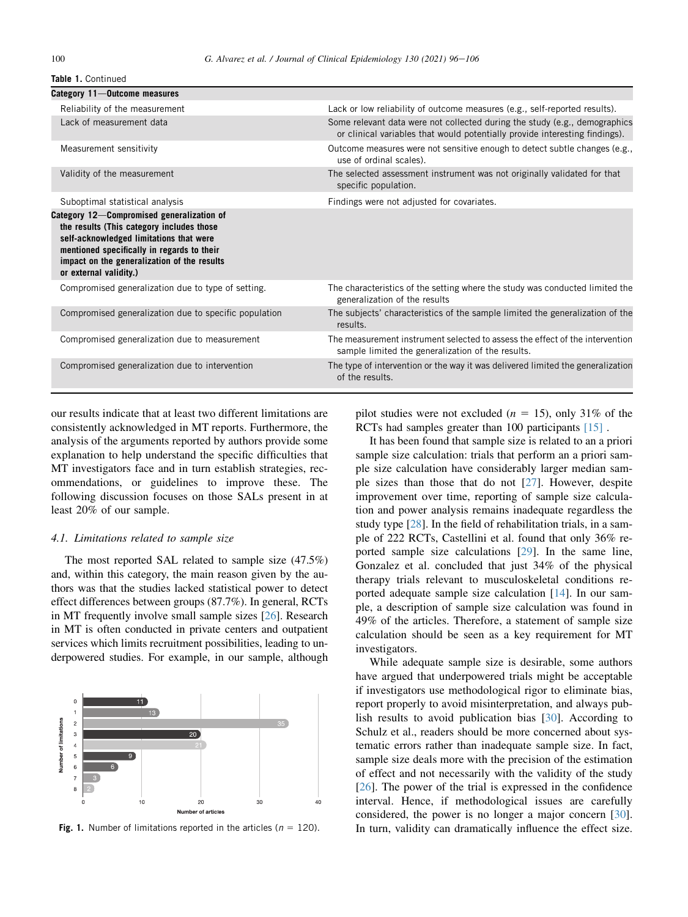| Category 11-Outcome measures                                                                                                                                                                                                                             |                                                                                                                                                           |
|----------------------------------------------------------------------------------------------------------------------------------------------------------------------------------------------------------------------------------------------------------|-----------------------------------------------------------------------------------------------------------------------------------------------------------|
| Reliability of the measurement                                                                                                                                                                                                                           | Lack or low reliability of outcome measures (e.g., self-reported results).                                                                                |
| Lack of measurement data                                                                                                                                                                                                                                 | Some relevant data were not collected during the study (e.g., demographics<br>or clinical variables that would potentially provide interesting findings). |
| Measurement sensitivity                                                                                                                                                                                                                                  | Outcome measures were not sensitive enough to detect subtle changes (e.g.,<br>use of ordinal scales).                                                     |
| Validity of the measurement                                                                                                                                                                                                                              | The selected assessment instrument was not originally validated for that<br>specific population.                                                          |
| Suboptimal statistical analysis                                                                                                                                                                                                                          | Findings were not adjusted for covariates.                                                                                                                |
| Category 12-Compromised generalization of<br>the results (This category includes those<br>self-acknowledged limitations that were<br>mentioned specifically in regards to their<br>impact on the generalization of the results<br>or external validity.) |                                                                                                                                                           |
| Compromised generalization due to type of setting.                                                                                                                                                                                                       | The characteristics of the setting where the study was conducted limited the<br>generalization of the results                                             |
| Compromised generalization due to specific population                                                                                                                                                                                                    | The subjects' characteristics of the sample limited the generalization of the<br>results.                                                                 |
| Compromised generalization due to measurement                                                                                                                                                                                                            | The measurement instrument selected to assess the effect of the intervention<br>sample limited the generalization of the results.                         |
| Compromised generalization due to intervention                                                                                                                                                                                                           | The type of intervention or the way it was delivered limited the generalization<br>of the results.                                                        |

our results indicate that at least two different limitations are consistently acknowledged in MT reports. Furthermore, the analysis of the arguments reported by authors provide some explanation to help understand the specific difficulties that MT investigators face and in turn establish strategies, recommendations, or guidelines to improve these. The following discussion focuses on those SALs present in at least 20% of our sample.

### 4.1. Limitations related to sample size

The most reported SAL related to sample size (47.5%) and, within this category, the main reason given by the authors was that the studies lacked statistical power to detect effect differences between groups (87.7%). In general, RCTs in MT frequently involve small sample sizes [[26](#page-9-3)]. Research in MT is often conducted in private centers and outpatient services which limits recruitment possibilities, leading to underpowered studies. For example, in our sample, although

<span id="page-4-0"></span>

**Fig. 1.** Number of limitations reported in the articles ( $n = 120$ ).

pilot studies were not excluded ( $n = 15$ ), only 31% of the RCTs had samples greater than 100 participants [\[15\]](#page-8-15).

It has been found that sample size is related to an a priori sample size calculation: trials that perform an a priori sample size calculation have considerably larger median sample sizes than those that do not [[27\]](#page-9-4). However, despite improvement over time, reporting of sample size calculation and power analysis remains inadequate regardless the study type [\[28](#page-9-5)]. In the field of rehabilitation trials, in a sample of 222 RCTs, Castellini et al. found that only 36% reported sample size calculations [[29\]](#page-9-6). In the same line, Gonzalez et al. concluded that just 34% of the physical therapy trials relevant to musculoskeletal conditions reported adequate sample size calculation [\[14](#page-8-16)]. In our sample, a description of sample size calculation was found in 49% of the articles. Therefore, a statement of sample size calculation should be seen as a key requirement for MT investigators.

While adequate sample size is desirable, some authors have argued that underpowered trials might be acceptable if investigators use methodological rigor to eliminate bias, report properly to avoid misinterpretation, and always publish results to avoid publication bias [[30\]](#page-9-7). According to Schulz et al., readers should be more concerned about systematic errors rather than inadequate sample size. In fact, sample size deals more with the precision of the estimation of effect and not necessarily with the validity of the study [\[26](#page-9-3)]. The power of the trial is expressed in the confidence interval. Hence, if methodological issues are carefully considered, the power is no longer a major concern [\[30](#page-9-7)]. In turn, validity can dramatically influence the effect size.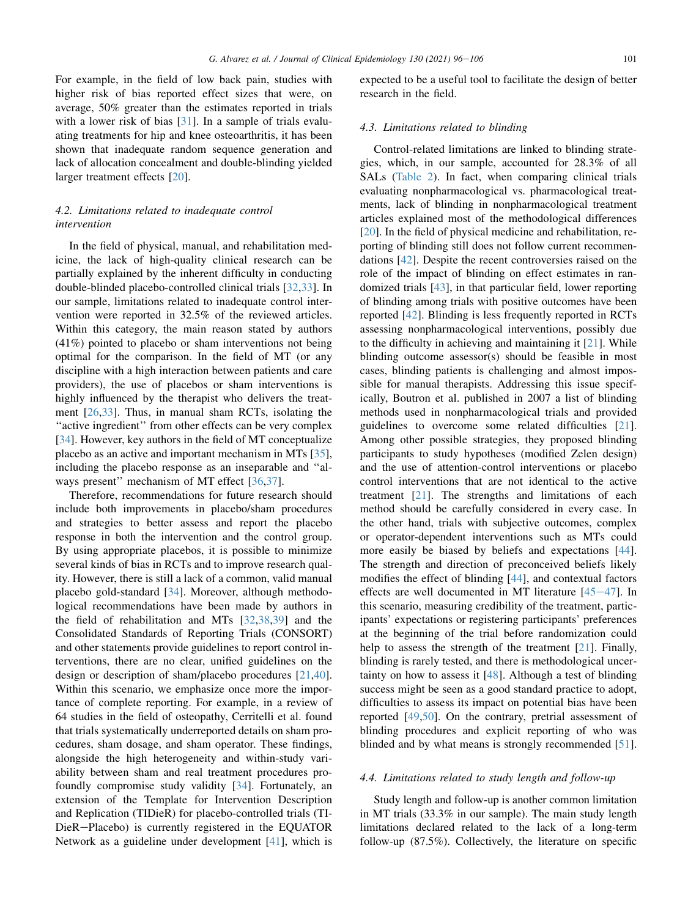For example, in the field of low back pain, studies with higher risk of bias reported effect sizes that were, on average, 50% greater than the estimates reported in trials with a lower risk of bias [\[31](#page-9-8)]. In a sample of trials evaluating treatments for hip and knee osteoarthritis, it has been shown that inadequate random sequence generation and lack of allocation concealment and double-blinding yielded larger treatment effects [[20\]](#page-8-14).

# 4.2. Limitations related to inadequate control intervention

In the field of physical, manual, and rehabilitation medicine, the lack of high-quality clinical research can be partially explained by the inherent difficulty in conducting double-blinded placebo-controlled clinical trials [[32,](#page-9-9)[33](#page-9-10)]. In our sample, limitations related to inadequate control intervention were reported in 32.5% of the reviewed articles. Within this category, the main reason stated by authors (41%) pointed to placebo or sham interventions not being optimal for the comparison. In the field of MT (or any discipline with a high interaction between patients and care providers), the use of placebos or sham interventions is highly influenced by the therapist who delivers the treatment [\[26](#page-9-3),[33\]](#page-9-10). Thus, in manual sham RCTs, isolating the "active ingredient" from other effects can be very complex [\[34](#page-9-11)]. However, key authors in the field of MT conceptualize placebo as an active and important mechanism in MTs [\[35](#page-9-12)], including the placebo response as an inseparable and ''al-ways present" mechanism of MT effect [\[36](#page-9-13),[37\]](#page-9-14).

Therefore, recommendations for future research should include both improvements in placebo/sham procedures and strategies to better assess and report the placebo response in both the intervention and the control group. By using appropriate placebos, it is possible to minimize several kinds of bias in RCTs and to improve research quality. However, there is still a lack of a common, valid manual placebo gold-standard [[34\]](#page-9-11). Moreover, although methodological recommendations have been made by authors in the field of rehabilitation and MTs [[32,](#page-9-9)[38](#page-9-15),[39](#page-9-16)] and the Consolidated Standards of Reporting Trials (CONSORT) and other statements provide guidelines to report control interventions, there are no clear, unified guidelines on the design or description of sham/placebo procedures [[21,](#page-9-17)[40](#page-9-18)]. Within this scenario, we emphasize once more the importance of complete reporting. For example, in a review of 64 studies in the field of osteopathy, Cerritelli et al. found that trials systematically underreported details on sham procedures, sham dosage, and sham operator. These findings, alongside the high heterogeneity and within-study variability between sham and real treatment procedures profoundly compromise study validity [[34\]](#page-9-11). Fortunately, an extension of the Template for Intervention Description and Replication (TIDieR) for placebo-controlled trials (TI-DieR-Placebo) is currently registered in the EQUATOR Network as a guideline under development [[41\]](#page-9-19), which is expected to be a useful tool to facilitate the design of better research in the field.

### 4.3. Limitations related to blinding

Control-related limitations are linked to blinding strategies, which, in our sample, accounted for 28.3% of all SALs ([Table 2\)](#page-6-0). In fact, when comparing clinical trials evaluating nonpharmacological vs. pharmacological treatments, lack of blinding in nonpharmacological treatment articles explained most of the methodological differences [\[20](#page-8-14)]. In the field of physical medicine and rehabilitation, reporting of blinding still does not follow current recommendations [\[42](#page-9-20)]. Despite the recent controversies raised on the role of the impact of blinding on effect estimates in randomized trials [[43\]](#page-9-21), in that particular field, lower reporting of blinding among trials with positive outcomes have been reported [[42\]](#page-9-20). Blinding is less frequently reported in RCTs assessing nonpharmacological interventions, possibly due to the difficulty in achieving and maintaining it [[21\]](#page-9-17). While blinding outcome assessor(s) should be feasible in most cases, blinding patients is challenging and almost impossible for manual therapists. Addressing this issue specifically, Boutron et al. published in 2007 a list of blinding methods used in nonpharmacological trials and provided guidelines to overcome some related difficulties [\[21](#page-9-17)]. Among other possible strategies, they proposed blinding participants to study hypotheses (modified Zelen design) and the use of attention-control interventions or placebo control interventions that are not identical to the active treatment [[21\]](#page-9-17). The strengths and limitations of each method should be carefully considered in every case. In the other hand, trials with subjective outcomes, complex or operator-dependent interventions such as MTs could more easily be biased by beliefs and expectations [\[44](#page-9-22)]. The strength and direction of preconceived beliefs likely modifies the effect of blinding [\[44](#page-9-22)], and contextual factors effects are well documented in MT literature  $[45-47]$  $[45-47]$  $[45-47]$  $[45-47]$  $[45-47]$ . In this scenario, measuring credibility of the treatment, participants' expectations or registering participants' preferences at the beginning of the trial before randomization could help to assess the strength of the treatment [[21\]](#page-9-17). Finally, blinding is rarely tested, and there is methodological uncertainty on how to assess it [[48\]](#page-9-24). Although a test of blinding success might be seen as a good standard practice to adopt, difficulties to assess its impact on potential bias have been reported [\[49](#page-9-25),[50\]](#page-9-26). On the contrary, pretrial assessment of blinding procedures and explicit reporting of who was blinded and by what means is strongly recommended [\[51](#page-9-27)].

### 4.4. Limitations related to study length and follow-up

Study length and follow-up is another common limitation in MT trials (33.3% in our sample). The main study length limitations declared related to the lack of a long-term follow-up (87.5%). Collectively, the literature on specific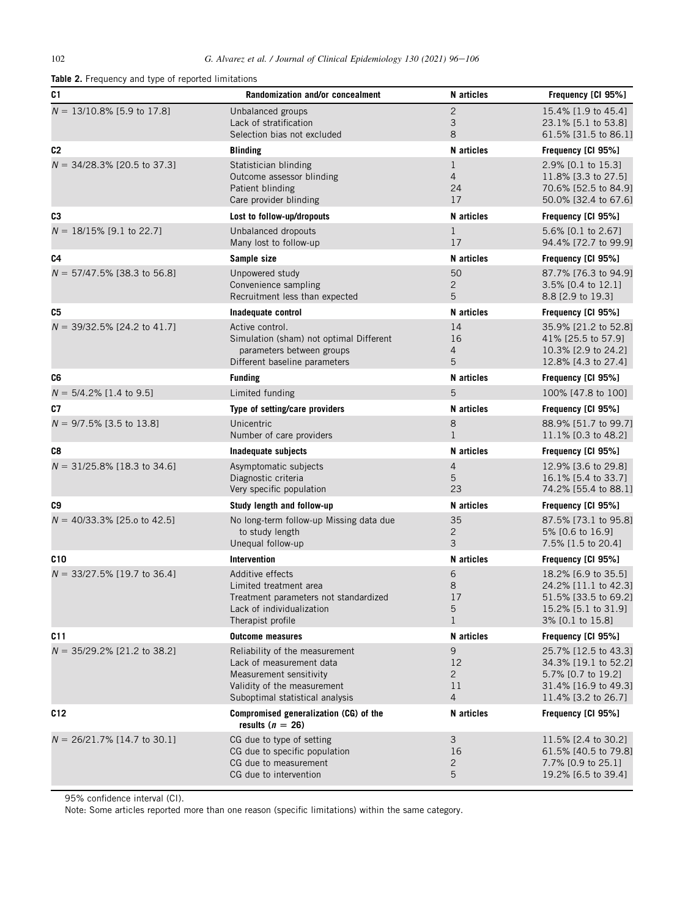<span id="page-6-0"></span>

| Table 2. Frequency and type of reported limitations |                                                                                                                                                         |                                           |                                                                                                                   |  |
|-----------------------------------------------------|---------------------------------------------------------------------------------------------------------------------------------------------------------|-------------------------------------------|-------------------------------------------------------------------------------------------------------------------|--|
| C <sub>1</sub>                                      | Randomization and/or concealment                                                                                                                        | N articles                                | Frequency [CI 95%]                                                                                                |  |
| $N = 13/10.8\%$ [5.9 to 17.8]                       | Unbalanced groups<br>Lack of stratification<br>Selection bias not excluded                                                                              | $\mathbf{2}$<br>3<br>8                    | 15.4% [1.9 to 45.4]<br>23.1% [5.1 to 53.8]<br>61.5% [31.5 to 86.1]                                                |  |
| C2                                                  | <b>Blinding</b>                                                                                                                                         | N articles                                | Frequency [CI 95%]                                                                                                |  |
| $N = 34/28.3\%$ [20.5 to 37.3]                      | Statistician blinding<br>Outcome assessor blinding<br>Patient blinding<br>Care provider blinding                                                        | $\mathbf 1$<br>$\overline{4}$<br>24<br>17 | 2.9% [0.1 to 15.3]<br>11.8% [3.3 to 27.5]<br>70.6% [52.5 to 84.9]<br>50.0% [32.4 to 67.6]                         |  |
| C <sub>3</sub>                                      | Lost to follow-up/dropouts                                                                                                                              | N articles                                | Frequency [CI 95%]                                                                                                |  |
| $N = 18/15\%$ [9.1 to 22.7]                         | Unbalanced dropouts<br>Many lost to follow-up                                                                                                           | $\mathbf{1}$<br>17                        | 5.6% [0.1 to 2.67]<br>94.4% [72.7 to 99.9]                                                                        |  |
| C4                                                  | Sample size                                                                                                                                             | N articles                                | Frequency [CI 95%]                                                                                                |  |
| $N = 57/47.5\%$ [38.3 to 56.8]                      | Unpowered study<br>Convenience sampling<br>Recruitment less than expected                                                                               | 50<br>$\overline{c}$<br>5                 | 87.7% [76.3 to 94.9]<br>3.5% [0.4 to 12.1]<br>8.8 [2.9 to 19.3]                                                   |  |
| C5                                                  | Inadequate control                                                                                                                                      | N articles                                | Frequency [CI 95%]                                                                                                |  |
| $N = 39/32.5\%$ [24.2 to 41.7]                      | Active control.<br>Simulation (sham) not optimal Different<br>parameters between groups<br>Different baseline parameters                                | 14<br>16<br>4<br>5                        | 35.9% [21.2 to 52.8]<br>41% [25.5 to 57.9]<br>10.3% [2.9 to 24.2]<br>12.8% [4.3 to 27.4]                          |  |
| C6                                                  | <b>Funding</b>                                                                                                                                          | N articles                                | Frequency [CI 95%]                                                                                                |  |
| $N = 5/4.2\%$ [1.4 to 9.5]                          | Limited funding                                                                                                                                         | 5                                         | 100% [47.8 to 100]                                                                                                |  |
| C7                                                  | Type of setting/care providers                                                                                                                          | N articles                                | Frequency [CI 95%]                                                                                                |  |
| $N = 9/7.5\%$ [3.5 to 13.8]                         | Unicentric<br>Number of care providers                                                                                                                  | 8<br>$\mathbf{1}$                         | 88.9% [51.7 to 99.7]<br>11.1% [0.3 to 48.2]                                                                       |  |
| C8                                                  | Inadequate subjects                                                                                                                                     | N articles                                | Frequency [CI 95%]                                                                                                |  |
| $N = 31/25.8\%$ [18.3 to 34.6]                      | Asymptomatic subjects<br>Diagnostic criteria<br>Very specific population                                                                                | 4<br>5<br>23                              | 12.9% [3.6 to 29.8]<br>16.1% [5.4 to 33.7]<br>74.2% [55.4 to 88.1]                                                |  |
| C9                                                  | Study length and follow-up                                                                                                                              | N articles                                | Frequency [CI 95%]                                                                                                |  |
| $N = 40/33.3\%$ [25.0 to 42.5]                      | No long-term follow-up Missing data due<br>to study length<br>Unequal follow-up                                                                         | 35<br>$\overline{c}$<br>3                 | 87.5% [73.1 to 95.8]<br>5% [0.6 to 16.9]<br>7.5% [1.5 to 20.4]                                                    |  |
| C <sub>10</sub>                                     | <b>Intervention</b>                                                                                                                                     | N articles                                | Frequency [CI 95%]                                                                                                |  |
| $N = 33/27.5\%$ [19.7 to 36.4]                      | Additive effects<br>Limited treatment area<br>Treatment parameters not standardized<br>Lack of individualization<br>Therapist profile                   | 6<br>8<br>17<br>5<br>$\mathbf 1$          | 18.2% [6.9 to 35.5]<br>24.2% [11.1 to 42.3]<br>51.5% [33.5 to 69.2]<br>15.2% [5.1 to 31.9]<br>3% [0.1 to 15.8]    |  |
| C11                                                 | <b>Outcome measures</b>                                                                                                                                 | N articles                                | Frequency [CI 95%]                                                                                                |  |
| $N = 35/29.2\%$ [21.2 to 38.2]                      | Reliability of the measurement<br>Lack of measurement data<br>Measurement sensitivity<br>Validity of the measurement<br>Suboptimal statistical analysis | 9<br>12<br>$\overline{2}$<br>11<br>4      | 25.7% [12.5 to 43.3]<br>34.3% [19.1 to 52.2]<br>5.7% [0.7 to 19.2]<br>31.4% [16.9 to 49.3]<br>11.4% [3.2 to 26.7] |  |
| C12                                                 | Compromised generalization (CG) of the<br>results ( $n = 26$ )                                                                                          | N articles                                | Frequency [CI 95%]                                                                                                |  |
| $N = 26/21.7\%$ [14.7 to 30.1]                      | CG due to type of setting<br>CG due to specific population<br>CG due to measurement<br>CG due to intervention                                           | 3<br>16<br>2<br>5                         | 11.5% [2.4 to 30.2]<br>61.5% [40.5 to 79.8]<br>7.7% [0.9 to 25.1]<br>19.2% [6.5 to 39.4]                          |  |

95% confidence interval (CI).

Note: Some articles reported more than one reason (specific limitations) within the same category.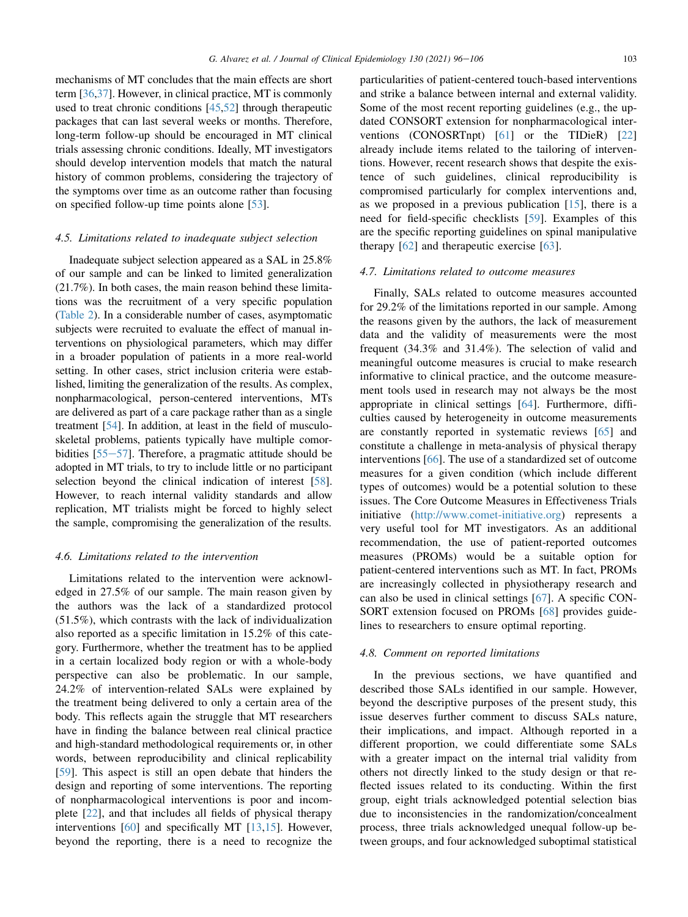mechanisms of MT concludes that the main effects are short term [\[36](#page-9-13),[37\]](#page-9-14). However, in clinical practice, MT is commonly used to treat chronic conditions [[45,](#page-9-23)[52\]](#page-9-28) through therapeutic packages that can last several weeks or months. Therefore, long-term follow-up should be encouraged in MT clinical trials assessing chronic conditions. Ideally, MT investigators should develop intervention models that match the natural history of common problems, considering the trajectory of the symptoms over time as an outcome rather than focusing on specified follow-up time points alone [\[53\]](#page-9-29).

#### 4.5. Limitations related to inadequate subject selection

Inadequate subject selection appeared as a SAL in 25.8% of our sample and can be linked to limited generalization (21.7%). In both cases, the main reason behind these limitations was the recruitment of a very specific population [\(Table 2\)](#page-6-0). In a considerable number of cases, asymptomatic subjects were recruited to evaluate the effect of manual interventions on physiological parameters, which may differ in a broader population of patients in a more real-world setting. In other cases, strict inclusion criteria were established, limiting the generalization of the results. As complex, nonpharmacological, person-centered interventions, MTs are delivered as part of a care package rather than as a single treatment [[54](#page-9-30)]. In addition, at least in the field of musculoskeletal problems, patients typically have multiple comorbidities  $[55-57]$  $[55-57]$  $[55-57]$ . Therefore, a pragmatic attitude should be adopted in MT trials, to try to include little or no participant selection beyond the clinical indication of interest [\[58](#page-9-32)]. However, to reach internal validity standards and allow replication, MT trialists might be forced to highly select the sample, compromising the generalization of the results.

# 4.6. Limitations related to the intervention

Limitations related to the intervention were acknowledged in 27.5% of our sample. The main reason given by the authors was the lack of a standardized protocol (51.5%), which contrasts with the lack of individualization also reported as a specific limitation in 15.2% of this category. Furthermore, whether the treatment has to be applied in a certain localized body region or with a whole-body perspective can also be problematic. In our sample, 24.2% of intervention-related SALs were explained by the treatment being delivered to only a certain area of the body. This reflects again the struggle that MT researchers have in finding the balance between real clinical practice and high-standard methodological requirements or, in other words, between reproducibility and clinical replicability [\[59](#page-9-33)]. This aspect is still an open debate that hinders the design and reporting of some interventions. The reporting of nonpharmacological interventions is poor and incomplete [\[22](#page-9-34)], and that includes all fields of physical therapy interventions [[60\]](#page-9-35) and specifically MT [\[13](#page-8-17),[15\]](#page-8-15). However, beyond the reporting, there is a need to recognize the

particularities of patient-centered touch-based interventions and strike a balance between internal and external validity. Some of the most recent reporting guidelines (e.g., the updated CONSORT extension for nonpharmacological interventions (CONOSRTnpt) [[61\]](#page-9-36) or the TIDieR) [[22\]](#page-9-34) already include items related to the tailoring of interventions. However, recent research shows that despite the existence of such guidelines, clinical reproducibility is compromised particularly for complex interventions and, as we proposed in a previous publication [[15\]](#page-8-15), there is a need for field-specific checklists [\[59](#page-9-33)]. Examples of this are the specific reporting guidelines on spinal manipulative therapy [[62\]](#page-9-37) and therapeutic exercise [\[63](#page-10-1)].

### 4.7. Limitations related to outcome measures

Finally, SALs related to outcome measures accounted for 29.2% of the limitations reported in our sample. Among the reasons given by the authors, the lack of measurement data and the validity of measurements were the most frequent (34.3% and 31.4%). The selection of valid and meaningful outcome measures is crucial to make research informative to clinical practice, and the outcome measurement tools used in research may not always be the most appropriate in clinical settings [\[64](#page-10-2)]. Furthermore, difficulties caused by heterogeneity in outcome measurements are constantly reported in systematic reviews [\[65](#page-10-3)] and constitute a challenge in meta-analysis of physical therapy interventions [[66\]](#page-10-4). The use of a standardized set of outcome measures for a given condition (which include different types of outcomes) would be a potential solution to these issues. The Core Outcome Measures in Effectiveness Trials initiative [\(http://www.comet-initiative.org\)](http://www.comet-initiative.org) represents a very useful tool for MT investigators. As an additional recommendation, the use of patient-reported outcomes measures (PROMs) would be a suitable option for patient-centered interventions such as MT. In fact, PROMs are increasingly collected in physiotherapy research and can also be used in clinical settings [\[67](#page-10-5)]. A specific CON-SORT extension focused on PROMs [[68\]](#page-10-6) provides guidelines to researchers to ensure optimal reporting.

### 4.8. Comment on reported limitations

In the previous sections, we have quantified and described those SALs identified in our sample. However, beyond the descriptive purposes of the present study, this issue deserves further comment to discuss SALs nature, their implications, and impact. Although reported in a different proportion, we could differentiate some SALs with a greater impact on the internal trial validity from others not directly linked to the study design or that reflected issues related to its conducting. Within the first group, eight trials acknowledged potential selection bias due to inconsistencies in the randomization/concealment process, three trials acknowledged unequal follow-up between groups, and four acknowledged suboptimal statistical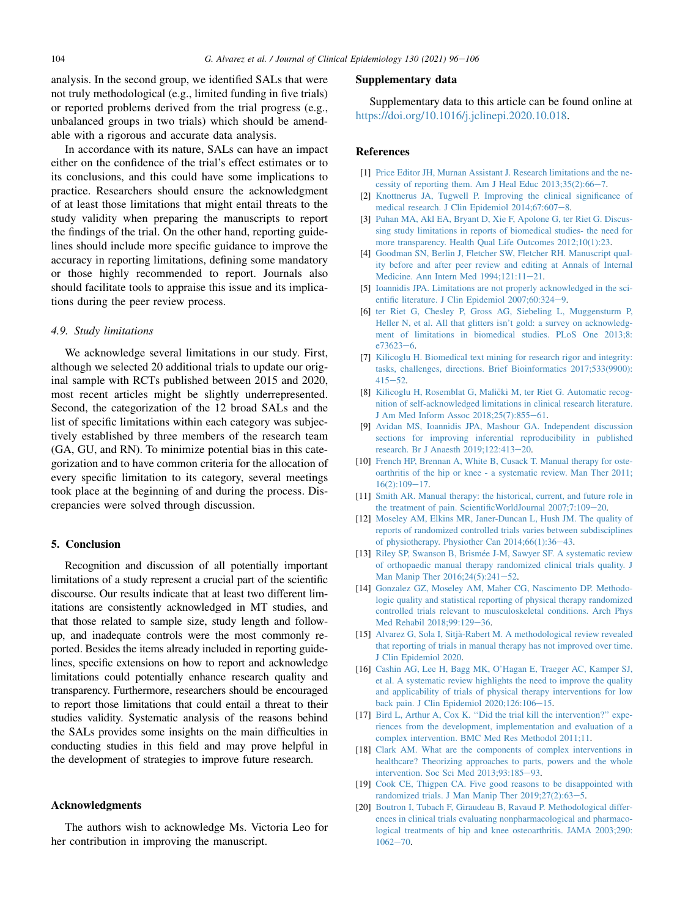analysis. In the second group, we identified SALs that were not truly methodological (e.g., limited funding in five trials) or reported problems derived from the trial progress (e.g., unbalanced groups in two trials) which should be amendable with a rigorous and accurate data analysis.

In accordance with its nature, SALs can have an impact either on the confidence of the trial's effect estimates or to its conclusions, and this could have some implications to practice. Researchers should ensure the acknowledgment of at least those limitations that might entail threats to the study validity when preparing the manuscripts to report the findings of the trial. On the other hand, reporting guidelines should include more specific guidance to improve the accuracy in reporting limitations, defining some mandatory or those highly recommended to report. Journals also should facilitate tools to appraise this issue and its implications during the peer review process.

# 4.9. Study limitations

We acknowledge several limitations in our study. First, although we selected 20 additional trials to update our original sample with RCTs published between 2015 and 2020, most recent articles might be slightly underrepresented. Second, the categorization of the 12 broad SALs and the list of specific limitations within each category was subjectively established by three members of the research team (GA, GU, and RN). To minimize potential bias in this categorization and to have common criteria for the allocation of every specific limitation to its category, several meetings took place at the beginning of and during the process. Discrepancies were solved through discussion.

# 5. Conclusion

Recognition and discussion of all potentially important limitations of a study represent a crucial part of the scientific discourse. Our results indicate that at least two different limitations are consistently acknowledged in MT studies, and that those related to sample size, study length and followup, and inadequate controls were the most commonly reported. Besides the items already included in reporting guidelines, specific extensions on how to report and acknowledge limitations could potentially enhance research quality and transparency. Furthermore, researchers should be encouraged to report those limitations that could entail a threat to their studies validity. Systematic analysis of the reasons behind the SALs provides some insights on the main difficulties in conducting studies in this field and may prove helpful in the development of strategies to improve future research.

### Acknowledgments

The authors wish to acknowledge Ms. Victoria Leo for her contribution in improving the manuscript.

### Supplementary data

Supplementary data to this article can be found online at <https://doi.org/10.1016/j.jclinepi.2020.10.018>.

### <span id="page-8-0"></span>References

- [1] [Price Editor JH, Murnan Assistant J. Research limitations and the ne](http://refhub.elsevier.com/S0895-4356(20)31157-4/sref1)cessity of reporting them. Am J Heal Educ  $2013;35(2):66-7$ .
- <span id="page-8-1"></span>[2] [Knottnerus JA, Tugwell P. Improving the clinical significance of](http://refhub.elsevier.com/S0895-4356(20)31157-4/sref2) [medical research. J Clin Epidemiol 2014;67:607](http://refhub.elsevier.com/S0895-4356(20)31157-4/sref2)-[8.](http://refhub.elsevier.com/S0895-4356(20)31157-4/sref2)
- <span id="page-8-2"></span>[3] [Puhan MA, Akl EA, Bryant D, Xie F, Apolone G, ter Riet G. Discus](http://refhub.elsevier.com/S0895-4356(20)31157-4/sref3)[sing study limitations in reports of biomedical studies- the need for](http://refhub.elsevier.com/S0895-4356(20)31157-4/sref3) [more transparency. Health Qual Life Outcomes 2012;10\(1\):23.](http://refhub.elsevier.com/S0895-4356(20)31157-4/sref3)
- <span id="page-8-3"></span>[4] [Goodman SN, Berlin J, Fletcher SW, Fletcher RH. Manuscript qual](http://refhub.elsevier.com/S0895-4356(20)31157-4/sref4)[ity before and after peer review and editing at Annals of Internal](http://refhub.elsevier.com/S0895-4356(20)31157-4/sref4) [Medicine. Ann Intern Med 1994;121:11](http://refhub.elsevier.com/S0895-4356(20)31157-4/sref4)-[21.](http://refhub.elsevier.com/S0895-4356(20)31157-4/sref4)
- <span id="page-8-4"></span>[5] [Ioannidis JPA. Limitations are not properly acknowledged in the sci](http://refhub.elsevier.com/S0895-4356(20)31157-4/sref5)entific literature. J Clin Epidemiol  $2007;60:324-9$ .
- <span id="page-8-5"></span>[6] [ter Riet G, Chesley P, Gross AG, Siebeling L, Muggensturm P,](http://refhub.elsevier.com/S0895-4356(20)31157-4/sref6) [Heller N, et al. All that glitters isn't gold: a survey on acknowledg](http://refhub.elsevier.com/S0895-4356(20)31157-4/sref6)[ment of limitations in biomedical studies. PLoS One 2013;8:](http://refhub.elsevier.com/S0895-4356(20)31157-4/sref6)  $e73623 - 6.$  $e73623 - 6.$  $e73623 - 6.$
- <span id="page-8-6"></span>[7] [Kilicoglu H. Biomedical text mining for research rigor and integrity:](http://refhub.elsevier.com/S0895-4356(20)31157-4/sref7) [tasks, challenges, directions. Brief Bioinformatics 2017;533\(9900\):](http://refhub.elsevier.com/S0895-4356(20)31157-4/sref7)  $415 - 52$  $415 - 52$  $415 - 52$
- [8] [Kilicoglu H, Rosemblat G, Mali](http://refhub.elsevier.com/S0895-4356(20)31157-4/sref8)c[ki M, ter Riet G. Automatic recog](http://refhub.elsevier.com/S0895-4356(20)31157-4/sref8)[nition of self-acknowledged limitations in clinical research literature.](http://refhub.elsevier.com/S0895-4356(20)31157-4/sref8) [J Am Med Inform Assoc 2018;25\(7\):855](http://refhub.elsevier.com/S0895-4356(20)31157-4/sref8)-[61.](http://refhub.elsevier.com/S0895-4356(20)31157-4/sref8)
- <span id="page-8-7"></span>[9] [Avidan MS, Ioannidis JPA, Mashour GA. Independent discussion](http://refhub.elsevier.com/S0895-4356(20)31157-4/sref9) [sections for improving inferential reproducibility in published](http://refhub.elsevier.com/S0895-4356(20)31157-4/sref9) [research. Br J Anaesth 2019;122:413](http://refhub.elsevier.com/S0895-4356(20)31157-4/sref9)-[20](http://refhub.elsevier.com/S0895-4356(20)31157-4/sref9).
- <span id="page-8-8"></span>[10] [French HP, Brennan A, White B, Cusack T. Manual therapy for oste](http://refhub.elsevier.com/S0895-4356(20)31157-4/sref10)[oarthritis of the hip or knee - a systematic review. Man Ther 2011;](http://refhub.elsevier.com/S0895-4356(20)31157-4/sref10)  $16(2):109-17.$  $16(2):109-17.$  $16(2):109-17.$
- <span id="page-8-9"></span>[11] [Smith AR. Manual therapy: the historical, current, and future role in](http://refhub.elsevier.com/S0895-4356(20)31157-4/sref11) the treatment of pain. ScientificWorldJournal  $2007;7:109-20$ .
- <span id="page-8-10"></span>[12] [Moseley AM, Elkins MR, Janer-Duncan L, Hush JM. The quality of](http://refhub.elsevier.com/S0895-4356(20)31157-4/sref12) [reports of randomized controlled trials varies between subdisciplines](http://refhub.elsevier.com/S0895-4356(20)31157-4/sref12) of physiotherapy. Physiother Can  $2014;66(1):36-43$ .
- <span id="page-8-17"></span>[13] [Riley SP, Swanson B, Brism](http://refhub.elsevier.com/S0895-4356(20)31157-4/sref13)é[e J-M, Sawyer SF. A systematic review](http://refhub.elsevier.com/S0895-4356(20)31157-4/sref13) [of orthopaedic manual therapy randomized clinical trials quality. J](http://refhub.elsevier.com/S0895-4356(20)31157-4/sref13) Man Manip Ther  $2016;24(5):241-52$  $2016;24(5):241-52$ .
- <span id="page-8-16"></span>[14] [Gonzalez GZ, Moseley AM, Maher CG, Nascimento DP. Methodo](http://refhub.elsevier.com/S0895-4356(20)31157-4/sref14)[logic quality and statistical reporting of physical therapy randomized](http://refhub.elsevier.com/S0895-4356(20)31157-4/sref14) [controlled trials relevant to musculoskeletal conditions. Arch Phys](http://refhub.elsevier.com/S0895-4356(20)31157-4/sref14) [Med Rehabil 2018;99:129](http://refhub.elsevier.com/S0895-4356(20)31157-4/sref14)-[36](http://refhub.elsevier.com/S0895-4356(20)31157-4/sref14).
- <span id="page-8-15"></span>[15] [Alvarez G, Sola I, Sitj](http://refhub.elsevier.com/S0895-4356(20)31157-4/sref15)[a-Rabert M. A methodological review revealed](http://refhub.elsevier.com/S0895-4356(20)31157-4/sref15) [that reporting of trials in manual therapy has not improved over time.](http://refhub.elsevier.com/S0895-4356(20)31157-4/sref15) [J Clin Epidemiol 2020](http://refhub.elsevier.com/S0895-4356(20)31157-4/sref15).
- [16] [Cashin AG, Lee H, Bagg MK, O'Hagan E, Traeger AC, Kamper SJ,](http://refhub.elsevier.com/S0895-4356(20)31157-4/sref16) [et al. A systematic review highlights the need to improve the quality](http://refhub.elsevier.com/S0895-4356(20)31157-4/sref16) [and applicability of trials of physical therapy interventions for low](http://refhub.elsevier.com/S0895-4356(20)31157-4/sref16) back pain. J Clin Epidemiol  $2020;126:106-15$ .
- <span id="page-8-11"></span>[17] Bird L, Arthur A, Cox K. "Did the trial kill the intervention?" expe[riences from the development, implementation and evaluation of a](http://refhub.elsevier.com/S0895-4356(20)31157-4/sref17) [complex intervention. BMC Med Res Methodol 2011;11](http://refhub.elsevier.com/S0895-4356(20)31157-4/sref17).
- <span id="page-8-12"></span>[18] [Clark AM. What are the components of complex interventions in](http://refhub.elsevier.com/S0895-4356(20)31157-4/sref18) [healthcare? Theorizing approaches to parts, powers and the whole](http://refhub.elsevier.com/S0895-4356(20)31157-4/sref18) intervention. Soc Sci Med  $2013;93:185-93$  $2013;93:185-93$  $2013;93:185-93$ .
- <span id="page-8-13"></span>[19] [Cook CE, Thigpen CA. Five good reasons to be disappointed with](http://refhub.elsevier.com/S0895-4356(20)31157-4/sref19) randomized trials. J Man Manip Ther  $2019;27(2):63-5$ .
- <span id="page-8-14"></span>[20] [Boutron I, Tubach F, Giraudeau B, Ravaud P. Methodological differ](http://refhub.elsevier.com/S0895-4356(20)31157-4/sref20)[ences in clinical trials evaluating nonpharmacological and pharmaco](http://refhub.elsevier.com/S0895-4356(20)31157-4/sref20)[logical treatments of hip and knee osteoarthritis. JAMA 2003;290:](http://refhub.elsevier.com/S0895-4356(20)31157-4/sref20)  $1062 - 70.$  $1062 - 70.$  $1062 - 70.$  $1062 - 70.$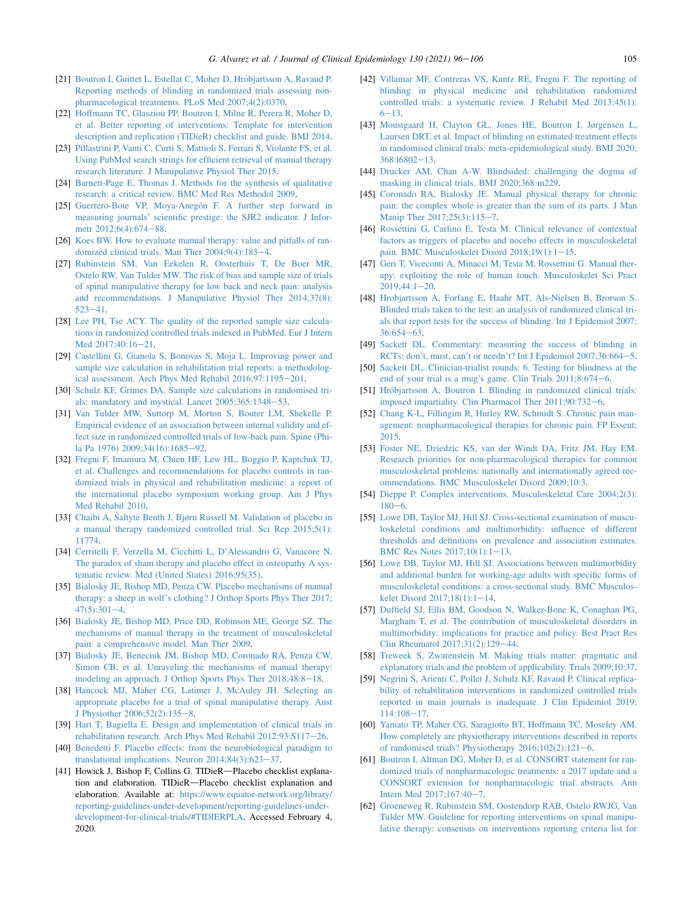- <span id="page-9-17"></span>[21] [Boutron I, Guittet L, Estellat C, Moher D, Hr](http://refhub.elsevier.com/S0895-4356(20)31157-4/sref21)[objartsson A, Ravaud P.](http://refhub.elsevier.com/S0895-4356(20)31157-4/sref21) [Reporting methods of blinding in randomized trials assessing non](http://refhub.elsevier.com/S0895-4356(20)31157-4/sref21)[pharmacological treatments. PLoS Med 2007;4\(2\):0370.](http://refhub.elsevier.com/S0895-4356(20)31157-4/sref21)
- <span id="page-9-34"></span>[22] [Hoffmann TC, Glasziou PP, Boutron I, Milne R, Perera R, Moher D,](http://refhub.elsevier.com/S0895-4356(20)31157-4/sref22) [et al. Better reporting of interventions: Template for intervention](http://refhub.elsevier.com/S0895-4356(20)31157-4/sref22) [description and replication \(TIDieR\) checklist and guide. BMJ 2014.](http://refhub.elsevier.com/S0895-4356(20)31157-4/sref22)
- <span id="page-9-0"></span>[23] [Pillastrini P, Vanti C, Curti S, Mattioli S, Ferrari S, Violante FS, et al.](http://refhub.elsevier.com/S0895-4356(20)31157-4/sref23) [Using PubMed search strings for efficient retrieval of manual therapy](http://refhub.elsevier.com/S0895-4356(20)31157-4/sref23) [research literature. J Manipulative Physiol Ther 2015.](http://refhub.elsevier.com/S0895-4356(20)31157-4/sref23)
- <span id="page-9-1"></span>[24] [Barnett-Page E, Thomas J. Methods for the synthesis of qualitative](http://refhub.elsevier.com/S0895-4356(20)31157-4/sref24) [research: a critical review. BMC Med Res Methodol 2009.](http://refhub.elsevier.com/S0895-4356(20)31157-4/sref24)
- <span id="page-9-2"></span>[25] [Guerrero-Bote VP, Moya-Aneg](http://refhub.elsevier.com/S0895-4356(20)31157-4/sref25)ón F. A further step forward in [measuring journals' scientific prestige: the SJR2 indicator. J Infor-](http://refhub.elsevier.com/S0895-4356(20)31157-4/sref25)metr 2012:6(4):674-[88.](http://refhub.elsevier.com/S0895-4356(20)31157-4/sref25)
- <span id="page-9-3"></span>[26] [Koes BW. How to evaluate manual therapy: value and pitfalls of ran](http://refhub.elsevier.com/S0895-4356(20)31157-4/sref26)domized clinical trials. Man Ther  $2004;9(4):183-4$  $2004;9(4):183-4$  $2004;9(4):183-4$ .
- <span id="page-9-4"></span>[27] [Rubinstein SM, Van Eekelen R, Oosterhuis T, De Boer MR,](http://refhub.elsevier.com/S0895-4356(20)31157-4/sref27) [Ostelo RW, Van Tulder MW. The risk of bias and sample size of trials](http://refhub.elsevier.com/S0895-4356(20)31157-4/sref27) [of spinal manipulative therapy for low back and neck pain: analysis](http://refhub.elsevier.com/S0895-4356(20)31157-4/sref27) [and recommendations. J Manipulative Physiol Ther 2014;37\(8\):](http://refhub.elsevier.com/S0895-4356(20)31157-4/sref27)  $523 - 41$  $523 - 41$ .
- <span id="page-9-5"></span>[28] [Lee PH, Tse ACY. The quality of the reported sample size calcula](http://refhub.elsevier.com/S0895-4356(20)31157-4/sref28)[tions in randomized controlled trials indexed in PubMed. Eur J Intern](http://refhub.elsevier.com/S0895-4356(20)31157-4/sref28) [Med 2017;40:16](http://refhub.elsevier.com/S0895-4356(20)31157-4/sref28)-[21](http://refhub.elsevier.com/S0895-4356(20)31157-4/sref28).
- <span id="page-9-6"></span>[29] [Castellini G, Gianola S, Bonovas S, Moja L. Improving power and](http://refhub.elsevier.com/S0895-4356(20)31157-4/sref29) [sample size calculation in rehabilitation trial reports: a methodolog](http://refhub.elsevier.com/S0895-4356(20)31157-4/sref29)[ical assessment. Arch Phys Med Rehabil 2016;97:1195](http://refhub.elsevier.com/S0895-4356(20)31157-4/sref29)-[201.](http://refhub.elsevier.com/S0895-4356(20)31157-4/sref29)
- <span id="page-9-7"></span>[30] [Schulz KF, Grimes DA. Sample size calculations in randomised tri](http://refhub.elsevier.com/S0895-4356(20)31157-4/sref30)als: mandatory and mystical. Lancet  $2005;365:1348-53$ .
- <span id="page-9-8"></span>[31] [Van Tulder MW, Suttorp M, Morton S, Bouter LM, Shekelle P.](http://refhub.elsevier.com/S0895-4356(20)31157-4/sref31) [Empirical evidence of an association between internal validity and ef](http://refhub.elsevier.com/S0895-4356(20)31157-4/sref31)[fect size in randomized controlled trials of low-back pain. Spine \(Phi](http://refhub.elsevier.com/S0895-4356(20)31157-4/sref31)[la Pa 1976\) 2009;34\(16\):1685](http://refhub.elsevier.com/S0895-4356(20)31157-4/sref31)-[92.](http://refhub.elsevier.com/S0895-4356(20)31157-4/sref31)
- <span id="page-9-9"></span>[32] [Fregni F, Imamura M, Chien HF, Lew HL, Boggio P, Kaptchuk TJ,](http://refhub.elsevier.com/S0895-4356(20)31157-4/sref32) [et al. Challenges and recommendations for placebo controls in ran](http://refhub.elsevier.com/S0895-4356(20)31157-4/sref32)[domized trials in physical and rehabilitation medicine: a report of](http://refhub.elsevier.com/S0895-4356(20)31157-4/sref32) [the international placebo symposium working group. Am J Phys](http://refhub.elsevier.com/S0895-4356(20)31157-4/sref32) [Med Rehabil 2010.](http://refhub.elsevier.com/S0895-4356(20)31157-4/sref32)
- <span id="page-9-10"></span>[33] [Chaibi A,](http://refhub.elsevier.com/S0895-4356(20)31157-4/sref33) Šaltytė [Benth J, Bjørn Russell M. Validation of placebo in](http://refhub.elsevier.com/S0895-4356(20)31157-4/sref33) [a manual therapy randomized controlled trial. Sci Rep 2015;5\(1\):](http://refhub.elsevier.com/S0895-4356(20)31157-4/sref33) [11774.](http://refhub.elsevier.com/S0895-4356(20)31157-4/sref33)
- <span id="page-9-11"></span>[34] [Cerritelli F, Verzella M, Cicchitti L, D'Alessandro G, Vanacore N.](http://refhub.elsevier.com/S0895-4356(20)31157-4/sref34) [The paradox of sham therapy and placebo effect in osteopathy A sys](http://refhub.elsevier.com/S0895-4356(20)31157-4/sref34)[tematic review. Med \(United States\) 2016;95\(35\).](http://refhub.elsevier.com/S0895-4356(20)31157-4/sref34)
- <span id="page-9-12"></span>[35] [Bialosky JE, Bishop MD, Penza CW. Placebo mechanisms of manual](http://refhub.elsevier.com/S0895-4356(20)31157-4/sref35) [therapy: a sheep in wolf's clothing? J Orthop Sports Phys Ther 2017;](http://refhub.elsevier.com/S0895-4356(20)31157-4/sref35)  $47(5):301-4.$  $47(5):301-4.$  $47(5):301-4.$  $47(5):301-4.$
- <span id="page-9-13"></span>[36] [Bialosky JE, Bishop MD, Price DD, Robinson ME, George SZ. The](http://refhub.elsevier.com/S0895-4356(20)31157-4/sref36) [mechanisms of manual therapy in the treatment of musculoskeletal](http://refhub.elsevier.com/S0895-4356(20)31157-4/sref36) [pain: a comprehensive model. Man Ther 2009](http://refhub.elsevier.com/S0895-4356(20)31157-4/sref36).
- <span id="page-9-14"></span>[37] [Bialosky JE, Beneciuk JM, Bishop MD, Coronado RA, Penza CW,](http://refhub.elsevier.com/S0895-4356(20)31157-4/sref37) [Simon CB, et al. Unraveling the mechanisms of manual therapy:](http://refhub.elsevier.com/S0895-4356(20)31157-4/sref37) [modeling an approach. J Orthop Sports Phys Ther 2018;48:8](http://refhub.elsevier.com/S0895-4356(20)31157-4/sref37)-[18.](http://refhub.elsevier.com/S0895-4356(20)31157-4/sref37)
- <span id="page-9-15"></span>[38] [Hancock MJ, Maher CG, Latimer J, McAuley JH. Selecting an](http://refhub.elsevier.com/S0895-4356(20)31157-4/sref38) [appropriate placebo for a trial of spinal manipulative therapy. Aust](http://refhub.elsevier.com/S0895-4356(20)31157-4/sref38) [J Physiother 2006;52\(2\):135](http://refhub.elsevier.com/S0895-4356(20)31157-4/sref38)-[8.](http://refhub.elsevier.com/S0895-4356(20)31157-4/sref38)
- <span id="page-9-16"></span>[39] [Hart T, Bagiella E. Design and implementation of clinical trials in](http://refhub.elsevier.com/S0895-4356(20)31157-4/sref39) [rehabilitation research. Arch Phys Med Rehabil 2012;93:S117](http://refhub.elsevier.com/S0895-4356(20)31157-4/sref39)-[26](http://refhub.elsevier.com/S0895-4356(20)31157-4/sref39).
- <span id="page-9-18"></span>[40] [Benedetti F. Placebo effects: from the neurobiological paradigm to](http://refhub.elsevier.com/S0895-4356(20)31157-4/sref40) translational implications. Neuron  $2014;84(3):623-37$  $2014;84(3):623-37$ .
- <span id="page-9-19"></span>[41] Howick J, Bishop F, Collins G. TIDieR-Placebo checklist explanation and elaboration. TIDieR-Placebo checklist explanation and elaboration. Available at: [https://www.equator-network.org/library/](https://www.equator-network.org/library/reporting-guidelines-under-development/reporting-guidelines-under-development-for-clinical-trials/#TIDIERPLA) [reporting-guidelines-under-development/reporting-guidelines-under](https://www.equator-network.org/library/reporting-guidelines-under-development/reporting-guidelines-under-development-for-clinical-trials/#TIDIERPLA)[development-for-clinical-trials/#TIDIERPLA.](https://www.equator-network.org/library/reporting-guidelines-under-development/reporting-guidelines-under-development-for-clinical-trials/#TIDIERPLA) Accessed February 4, 2020.
- <span id="page-9-20"></span>[42] [Villamar MF, Contreras VS, Kuntz RE, Fregni F. The reporting of](http://refhub.elsevier.com/S0895-4356(20)31157-4/sref42) [blinding in physical medicine and rehabilitation randomized](http://refhub.elsevier.com/S0895-4356(20)31157-4/sref42) [controlled trials: a systematic review. J Rehabil Med 2013;45\(1\):](http://refhub.elsevier.com/S0895-4356(20)31157-4/sref42)  $6 - 13$  $6 - 13$
- <span id="page-9-21"></span>[43] [Moustgaard H, Clayton GL, Jones HE, Boutron I, Jørgensen L,](http://refhub.elsevier.com/S0895-4356(20)31157-4/sref43) [Laursen DRT, et al. Impact of blinding on estimated treatment effects](http://refhub.elsevier.com/S0895-4356(20)31157-4/sref43) [in randomised clinical trials: meta-epidemiological study. BMJ 2020;](http://refhub.elsevier.com/S0895-4356(20)31157-4/sref43) 368:16802-[13](http://refhub.elsevier.com/S0895-4356(20)31157-4/sref43).
- <span id="page-9-22"></span>[44] [Drucker AM, Chan A-W. Blindsided: challenging the dogma of](http://refhub.elsevier.com/S0895-4356(20)31157-4/sref44) [masking in clinical trials. BMJ 2020;368:m229.](http://refhub.elsevier.com/S0895-4356(20)31157-4/sref44)
- <span id="page-9-23"></span>[45] [Coronado RA, Bialosky JE. Manual physical therapy for chronic](http://refhub.elsevier.com/S0895-4356(20)31157-4/sref45) [pain: the complex whole is greater than the sum of its parts. J Man](http://refhub.elsevier.com/S0895-4356(20)31157-4/sref45) [Manip Ther 2017;25\(3\):115](http://refhub.elsevier.com/S0895-4356(20)31157-4/sref45)-[7.](http://refhub.elsevier.com/S0895-4356(20)31157-4/sref45)
- [46] [Rossettini G, Carlino E, Testa M. Clinical relevance of contextual](http://refhub.elsevier.com/S0895-4356(20)31157-4/sref46) [factors as triggers of placebo and nocebo effects in musculoskeletal](http://refhub.elsevier.com/S0895-4356(20)31157-4/sref46) pain. BMC Musculoskelet Disord  $2018;19(1):1-15$ .
- [47] [Geri T, Viceconti A, Minacci M, Testa M, Rossettini G. Manual ther](http://refhub.elsevier.com/S0895-4356(20)31157-4/sref47)[apy: exploiting the role of human touch. Musculoskelet Sci Pract](http://refhub.elsevier.com/S0895-4356(20)31157-4/sref47)  $2019;44:1-20$  $2019;44:1-20$  $2019;44:1-20$ .
- <span id="page-9-24"></span>[48] [Hrobjartsson A, Forfang E, Haahr MT, Als-Nielsen B, Brorson S.](http://refhub.elsevier.com/S0895-4356(20)31157-4/sref48) [Blinded trials taken to the test: an analysis of randomized clinical tri](http://refhub.elsevier.com/S0895-4356(20)31157-4/sref48)[als that report tests for the success of blinding. Int J Epidemiol 2007;](http://refhub.elsevier.com/S0895-4356(20)31157-4/sref48)  $36:654-63.$  $36:654-63.$  $36:654-63.$  $36:654-63.$
- <span id="page-9-25"></span>[49] [Sackett DL. Commentary: measuring the success of blinding in](http://refhub.elsevier.com/S0895-4356(20)31157-4/sref49) [RCTs: don't, must, can't or needn't? Int J Epidemiol 2007;36:664](http://refhub.elsevier.com/S0895-4356(20)31157-4/sref49)-[5.](http://refhub.elsevier.com/S0895-4356(20)31157-4/sref49)
- <span id="page-9-26"></span>[50] [Sackett DL. Clinician-trialist rounds: 6. Testing for blindness at the](http://refhub.elsevier.com/S0895-4356(20)31157-4/sref50) end of your trial is a mug's game. Clin Trials  $2011;8:674-6$  $2011;8:674-6$  $2011;8:674-6$ .
- <span id="page-9-27"></span>[51] [Hr](http://refhub.elsevier.com/S0895-4356(20)31157-4/sref51)óbjartsson A, Boutron I. Blinding in randomized clinical trials: [imposed impartiality. Clin Pharmacol Ther 2011;90:732](http://refhub.elsevier.com/S0895-4356(20)31157-4/sref51)-[6](http://refhub.elsevier.com/S0895-4356(20)31157-4/sref51).
- <span id="page-9-28"></span>[52] [Chang K-L, Fillingim R, Hurley RW, Schmidt S. Chronic pain man](http://refhub.elsevier.com/S0895-4356(20)31157-4/sref52)[agement: nonpharmacological therapies for chronic pain. FP Essent;](http://refhub.elsevier.com/S0895-4356(20)31157-4/sref52) [2015.](http://refhub.elsevier.com/S0895-4356(20)31157-4/sref52)
- <span id="page-9-29"></span>[53] [Foster NE, Dziedzic KS, van der Windt DA, Fritz JM, Hay EM.](http://refhub.elsevier.com/S0895-4356(20)31157-4/sref53) [Research priorities for non-pharmacological therapies for common](http://refhub.elsevier.com/S0895-4356(20)31157-4/sref53) [musculoskeletal problems: nationally and internationally agreed rec](http://refhub.elsevier.com/S0895-4356(20)31157-4/sref53)[ommendations. BMC Musculoskelet Disord 2009;10:3.](http://refhub.elsevier.com/S0895-4356(20)31157-4/sref53)
- <span id="page-9-30"></span>[54] [Dieppe P. Complex interventions. Musculoskeletal Care 2004;2\(3\):](http://refhub.elsevier.com/S0895-4356(20)31157-4/sref54)  $180 - 6.$  $180 - 6.$  $180 - 6.$
- <span id="page-9-31"></span>[55] [Lowe DB, Taylor MJ, Hill SJ. Cross-sectional examination of muscu](http://refhub.elsevier.com/S0895-4356(20)31157-4/sref55)[loskeletal conditions and multimorbidity: influence of different](http://refhub.elsevier.com/S0895-4356(20)31157-4/sref55) [thresholds and definitions on prevalence and association estimates.](http://refhub.elsevier.com/S0895-4356(20)31157-4/sref55) BMC Res Notes  $2017;10(1):1-13$ .
- [56] [Lowe DB, Taylor MJ, Hill SJ. Associations between multimorbidity](http://refhub.elsevier.com/S0895-4356(20)31157-4/sref56) [and additional burden for working-age adults with specific forms of](http://refhub.elsevier.com/S0895-4356(20)31157-4/sref56) [musculoskeletal conditions: a cross-sectional study. BMC Musculos](http://refhub.elsevier.com/S0895-4356(20)31157-4/sref56)kelet Disord  $2017;18(1):1-14$ .
- [57] [Duffield SJ, Ellis BM, Goodson N, Walker-Bone K, Conaghan PG,](http://refhub.elsevier.com/S0895-4356(20)31157-4/sref57) [Margham T, et al. The contribution of musculoskeletal disorders in](http://refhub.elsevier.com/S0895-4356(20)31157-4/sref57) [multimorbidity: implications for practice and policy. Best Pract Res](http://refhub.elsevier.com/S0895-4356(20)31157-4/sref57) [Clin Rheumatol 2017;31\(2\):129](http://refhub.elsevier.com/S0895-4356(20)31157-4/sref57)-[44.](http://refhub.elsevier.com/S0895-4356(20)31157-4/sref57)
- <span id="page-9-32"></span>[58] [Treweek S, Zwarenstein M. Making trials matter: pragmatic and](http://refhub.elsevier.com/S0895-4356(20)31157-4/sref58) [explanatory trials and the problem of applicability. Trials 2009;10:37.](http://refhub.elsevier.com/S0895-4356(20)31157-4/sref58)
- <span id="page-9-33"></span>[59] [Negrini S, Arienti C, Pollet J, Schulz KF, Ravaud P. Clinical replica](http://refhub.elsevier.com/S0895-4356(20)31157-4/sref59)[bility of rehabilitation interventions in randomized controlled trials](http://refhub.elsevier.com/S0895-4356(20)31157-4/sref59) [reported in main journals is inadequate. J Clin Epidemiol 2019;](http://refhub.elsevier.com/S0895-4356(20)31157-4/sref59) [114:108](http://refhub.elsevier.com/S0895-4356(20)31157-4/sref59)-[17](http://refhub.elsevier.com/S0895-4356(20)31157-4/sref59).
- <span id="page-9-35"></span>[60] [Yamato TP, Maher CG, Saragiotto BT, Hoffmann TC, Moseley AM.](http://refhub.elsevier.com/S0895-4356(20)31157-4/sref60) [How completely are physiotherapy interventions described in reports](http://refhub.elsevier.com/S0895-4356(20)31157-4/sref60) of randomised trials? Physiotherapy  $2016;102(2):121-6$ .
- <span id="page-9-36"></span>[61] [Boutron I, Altman DG, Moher D, et al. CONSORT statement for ran](http://refhub.elsevier.com/S0895-4356(20)31157-4/sref61)[domized trials of nonpharmacologic treatments: a 2017 update and a](http://refhub.elsevier.com/S0895-4356(20)31157-4/sref61) [CONSORT extension for nonpharmacologic trial abstracts. Ann](http://refhub.elsevier.com/S0895-4356(20)31157-4/sref61) Intern Med  $2017;167:40-7$  $2017;167:40-7$  $2017;167:40-7$ .
- <span id="page-9-37"></span>[62] [Groeneweg R, Rubinstein SM, Oostendorp RAB, Ostelo RWJG, Van](http://refhub.elsevier.com/S0895-4356(20)31157-4/sref62) [Tulder MW. Guideline for reporting interventions on spinal manipu](http://refhub.elsevier.com/S0895-4356(20)31157-4/sref62)[lative therapy: consensus on interventions reporting criteria list for](http://refhub.elsevier.com/S0895-4356(20)31157-4/sref62)